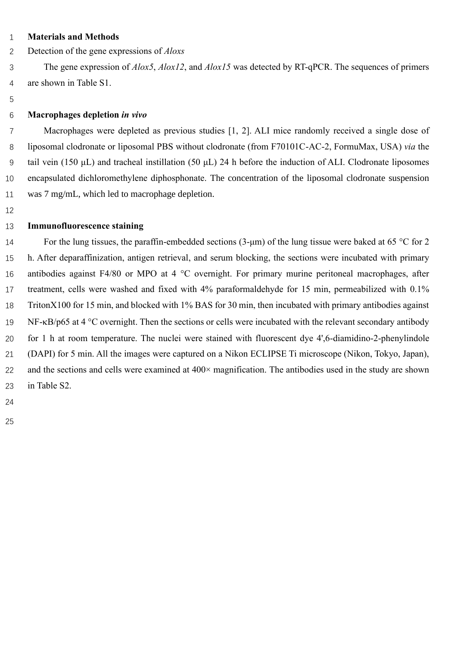## **Materials and Methods**

Detection of the gene expressions of *Aloxs*

 The gene expression of *Alox5*, *Alox12*, and *Alox15* was detected by RT-qPCR. The sequences of primers are shown in Table S1.

# **Macrophages depletion** *in vivo*

 Macrophages were depleted as previous studies [1, 2]. ALI mice randomly received a single dose of liposomal clodronate or liposomal PBS without clodronate (from F70101C-AC-2, FormuMax, USA) *via* the tail vein (150 μL) and tracheal instillation (50 μL) 24 h before the induction of ALI. Clodronate liposomes encapsulated dichloromethylene diphosphonate. The concentration of the liposomal clodronate suspension was 7 mg/mL, which led to macrophage depletion.

## **Immunofluorescence staining**

 For the lung tissues, the paraffin-embedded sections (3-μm) of the lung tissue were baked at 65 °C for 2 h. After deparaffinization, antigen retrieval, and serum blocking, the sections were incubated with primary 16 antibodies against F4/80 or MPO at 4 °C overnight. For primary murine peritoneal macrophages, after treatment, cells were washed and fixed with 4% paraformaldehyde for 15 min, permeabilized with 0.1% TritonX100 for 15 min, and blocked with 1% BAS for 30 min, then incubated with primary antibodies against 19 NF- $\kappa$ B/p65 at 4 °C overnight. Then the sections or cells were incubated with the relevant secondary antibody for 1 h at room temperature. The nuclei were stained with fluorescent dye 4',6-diamidino-2-phenylindole (DAPI) for 5 min. All the images were captured on a Nikon ECLIPSE Ti microscope (Nikon, Tokyo, Japan), 22 and the sections and cells were examined at 400× magnification. The antibodies used in the study are shown in Table S2.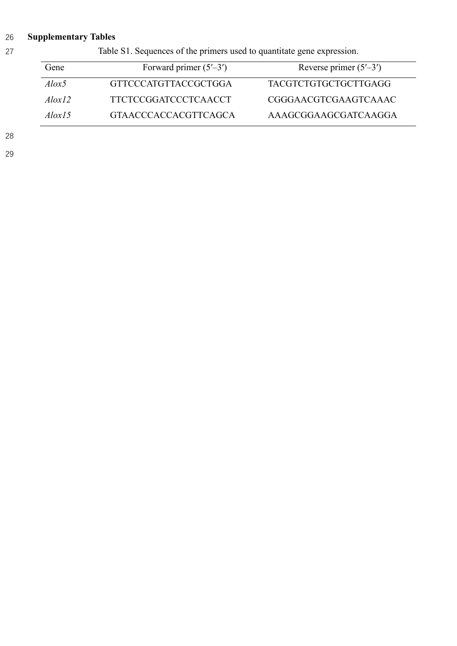# 26 **Supplementary Tables**

27 Table S1. Sequences of the primers used to quantitate gene expression.

| Gene          | Forward primer $(5'–3')$ | Reverse primer $(5'–3')$    |
|---------------|--------------------------|-----------------------------|
| $A$ lox5      | GTTCCCATGTTACCGCTGGA     | <b>TACGTCTGTGCTGCTTGAGG</b> |
| $A\log 12$    | TTCTCCGGATCCCTCAACCT     | CGGGAACGTCGAAGTCAAAC        |
| $A\alpha l$ 5 | GTA ACCCACCACGTTCAGCA    | AAAGCGGAAGCGATCAAGGA        |

28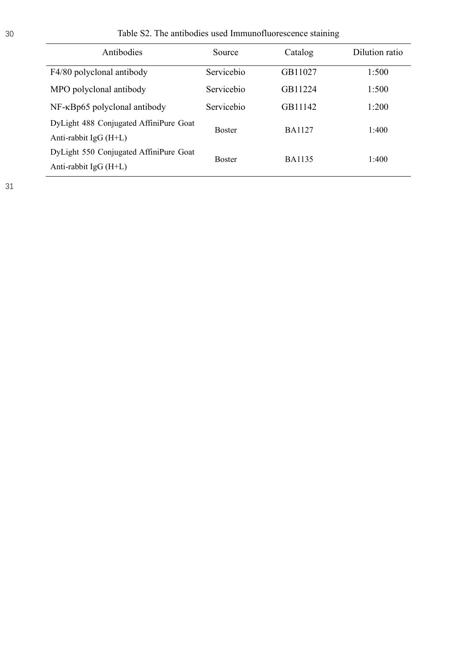| Antibodies                                                       | Source        | Catalog       | Dilution ratio |
|------------------------------------------------------------------|---------------|---------------|----------------|
| F4/80 polyclonal antibody                                        | Servicebio    | GB11027       | 1:500          |
| MPO polyclonal antibody                                          | Servicebio    | GB11224       | 1:500          |
| $NF$ - $\kappa$ Bp65 polyclonal antibody                         | Servicebio    | GB11142       | 1:200          |
| DyLight 488 Conjugated AffiniPure Goat<br>Anti-rabbit $IgG(H+L)$ | <b>Boster</b> | <b>BA1127</b> | 1:400          |
| DyLight 550 Conjugated AffiniPure Goat<br>Anti-rabbit $IgG(H+L)$ | <b>Boster</b> | <b>BA1135</b> | 1:400          |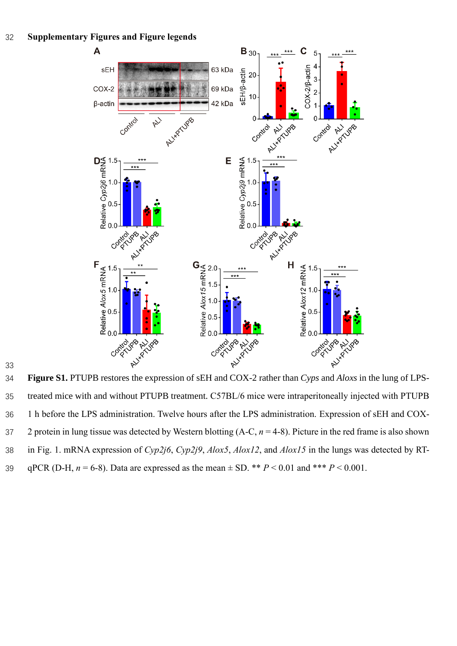

 treated mice with and without PTUPB treatment. C57BL/6 mice were intraperitoneally injected with PTUPB 1 h before the LPS administration. Twelve hours after the LPS administration. Expression of sEH and COX- 2 protein in lung tissue was detected by Western blotting (A-C, *n* = 4-8). Picture in the red frame is also shown in Fig. 1. mRNA expression of *Cyp2j6*, *Cyp2j9*, *Alox5*, *Alox12*, and *Alox15* in the lungs was detected by RT-39 qPCR (D-H,  $n = 6-8$ ). Data are expressed as the mean  $\pm$  SD. \*\*  $P < 0.01$  and \*\*\*  $P < 0.001$ .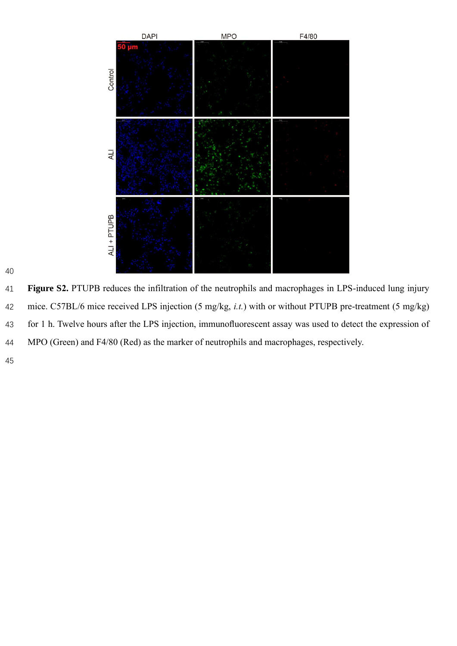

 **Figure S2.** PTUPB reduces the infiltration of the neutrophils and macrophages in LPS-induced lung injury mice. C57BL/6 mice received LPS injection (5 mg/kg, *i.t.*) with or without PTUPB pre-treatment (5 mg/kg) for 1 h. Twelve hours after the LPS injection, immunofluorescent assay was used to detect the expression of MPO (Green) and F4/80 (Red) as the marker of neutrophils and macrophages, respectively.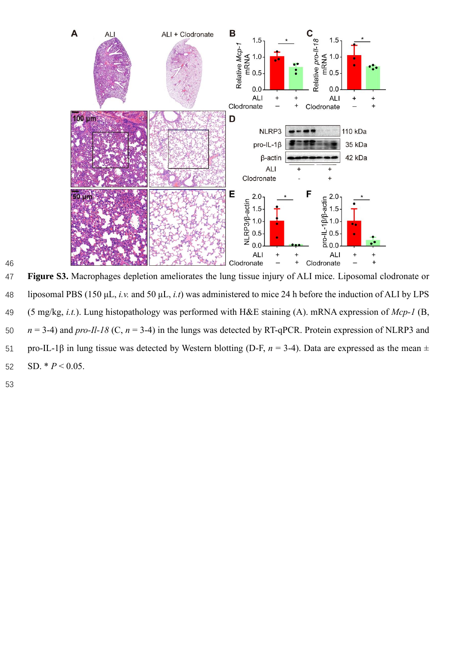

 **Figure S3.** Macrophages depletion ameliorates the lung tissue injury of ALI mice. Liposomal clodronate or liposomal PBS (150 μL, *i.v.* and 50 μL, *i.t*) was administered to mice 24 h before the induction of ALI by LPS (5 mg/kg, *i.t.*). Lung histopathology was performed with H&E staining (A). mRNA expression of *Mcp-1* (B, *n* = 3-4) and *pro-Il-18* (C, *n* = 3-4) in the lungs was detected by RT-qPCR. Protein expression of NLRP3 and pro-IL-1β in lung tissue was detected by Western blotting (D-F, *n* = 3-4). Data are expressed as the mean ± 52 SD.  $* P < 0.05$ .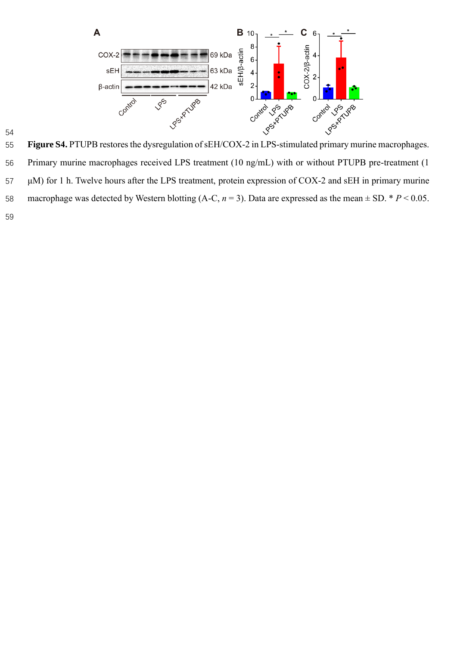

 Primary murine macrophages received LPS treatment (10 ng/mL) with or without PTUPB pre-treatment (1 μM) for 1 h. Twelve hours after the LPS treatment, protein expression of COX-2 and sEH in primary murine 58 macrophage was detected by Western blotting  $(A-C, n=3)$ . Data are expressed as the mean  $\pm$  SD. \* *P* < 0.05.